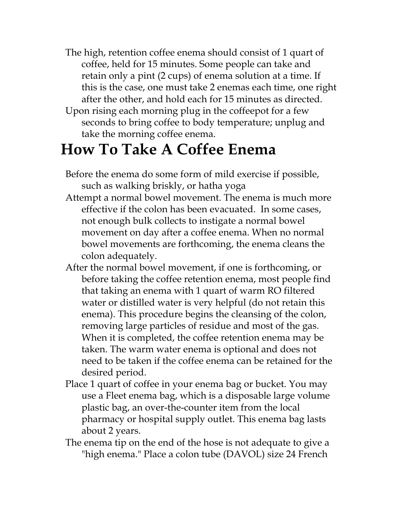- The high, retention coffee enema should consist of 1 quart of coffee, held for 15 minutes. Some people can take and retain only a pint (2 cups) of enema solution at a time. If this is the case, one must take 2 enemas each time, one right after the other, and hold each for 15 minutes as directed.
- Upon rising each morning plug in the coffeepot for a few seconds to bring coffee to body temperature; unplug and take the morning coffee enema.

## **How To Take A Coffee Enema**

- Before the enema do some form of mild exercise if possible, such as walking briskly, or hatha yoga
- Attempt a normal bowel movement. The enema is much more effective if the colon has been evacuated. In some cases, not enough bulk collects to instigate a normal bowel movement on day after a coffee enema. When no normal bowel movements are forthcoming, the enema cleans the colon adequately.
- After the normal bowel movement, if one is forthcoming, or before taking the coffee retention enema, most people find that taking an enema with 1 quart of warm RO filtered water or distilled water is very helpful (do not retain this enema). This procedure begins the cleansing of the colon, removing large particles of residue and most of the gas. When it is completed, the coffee retention enema may be taken. The warm water enema is optional and does not need to be taken if the coffee enema can be retained for the desired period.
- Place 1 quart of coffee in your enema bag or bucket. You may use a Fleet enema bag, which is a disposable large volume plastic bag, an over-the-counter item from the local pharmacy or hospital supply outlet. This enema bag lasts about 2 years.
- The enema tip on the end of the hose is not adequate to give a "high enema." Place a colon tube (DAVOL) size 24 French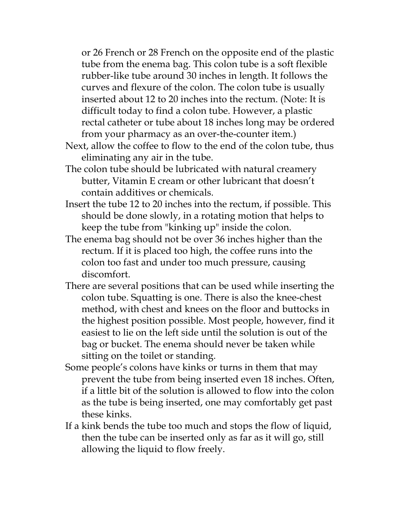or 26 French or 28 French on the opposite end of the plastic tube from the enema bag. This colon tube is a soft flexible rubber-like tube around 30 inches in length. It follows the curves and flexure of the colon. The colon tube is usually inserted about 12 to 20 inches into the rectum. (Note: It is difficult today to find a colon tube. However, a plastic rectal catheter or tube about 18 inches long may be ordered from your pharmacy as an over-the-counter item.)

- Next, allow the coffee to flow to the end of the colon tube, thus eliminating any air in the tube.
- The colon tube should be lubricated with natural creamery butter, Vitamin E cream or other lubricant that doesn't contain additives or chemicals.
- Insert the tube 12 to 20 inches into the rectum, if possible. This should be done slowly, in a rotating motion that helps to keep the tube from "kinking up" inside the colon.
- The enema bag should not be over 36 inches higher than the rectum. If it is placed too high, the coffee runs into the colon too fast and under too much pressure, causing discomfort.
- There are several positions that can be used while inserting the colon tube. Squatting is one. There is also the knee-chest method, with chest and knees on the floor and buttocks in the highest position possible. Most people, however, find it easiest to lie on the left side until the solution is out of the bag or bucket. The enema should never be taken while sitting on the toilet or standing.
- Some people's colons have kinks or turns in them that may prevent the tube from being inserted even 18 inches. Often, if a little bit of the solution is allowed to flow into the colon as the tube is being inserted, one may comfortably get past these kinks.
- If a kink bends the tube too much and stops the flow of liquid, then the tube can be inserted only as far as it will go, still allowing the liquid to flow freely.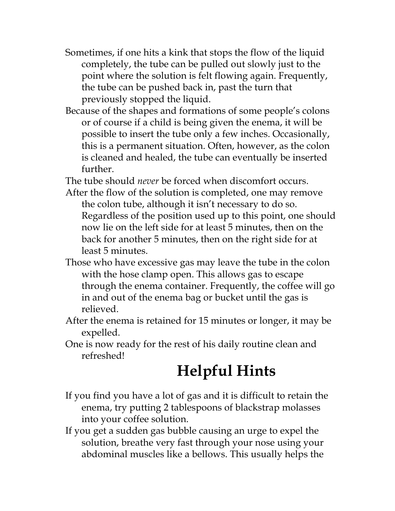- Sometimes, if one hits a kink that stops the flow of the liquid completely, the tube can be pulled out slowly just to the point where the solution is felt flowing again. Frequently, the tube can be pushed back in, past the turn that previously stopped the liquid.
- Because of the shapes and formations of some people's colons or of course if a child is being given the enema, it will be possible to insert the tube only a few inches. Occasionally, this is a permanent situation. Often, however, as the colon is cleaned and healed, the tube can eventually be inserted further.

The tube should *never* be forced when discomfort occurs.

- After the flow of the solution is completed, one may remove the colon tube, although it isn't necessary to do so. Regardless of the position used up to this point, one should now lie on the left side for at least 5 minutes, then on the back for another 5 minutes, then on the right side for at least 5 minutes.
- Those who have excessive gas may leave the tube in the colon with the hose clamp open. This allows gas to escape through the enema container. Frequently, the coffee will go in and out of the enema bag or bucket until the gas is relieved.
- After the enema is retained for 15 minutes or longer, it may be expelled.
- One is now ready for the rest of his daily routine clean and refreshed!

## **Helpful Hints**

- If you find you have a lot of gas and it is difficult to retain the enema, try putting 2 tablespoons of blackstrap molasses into your coffee solution.
- If you get a sudden gas bubble causing an urge to expel the solution, breathe very fast through your nose using your abdominal muscles like a bellows. This usually helps the